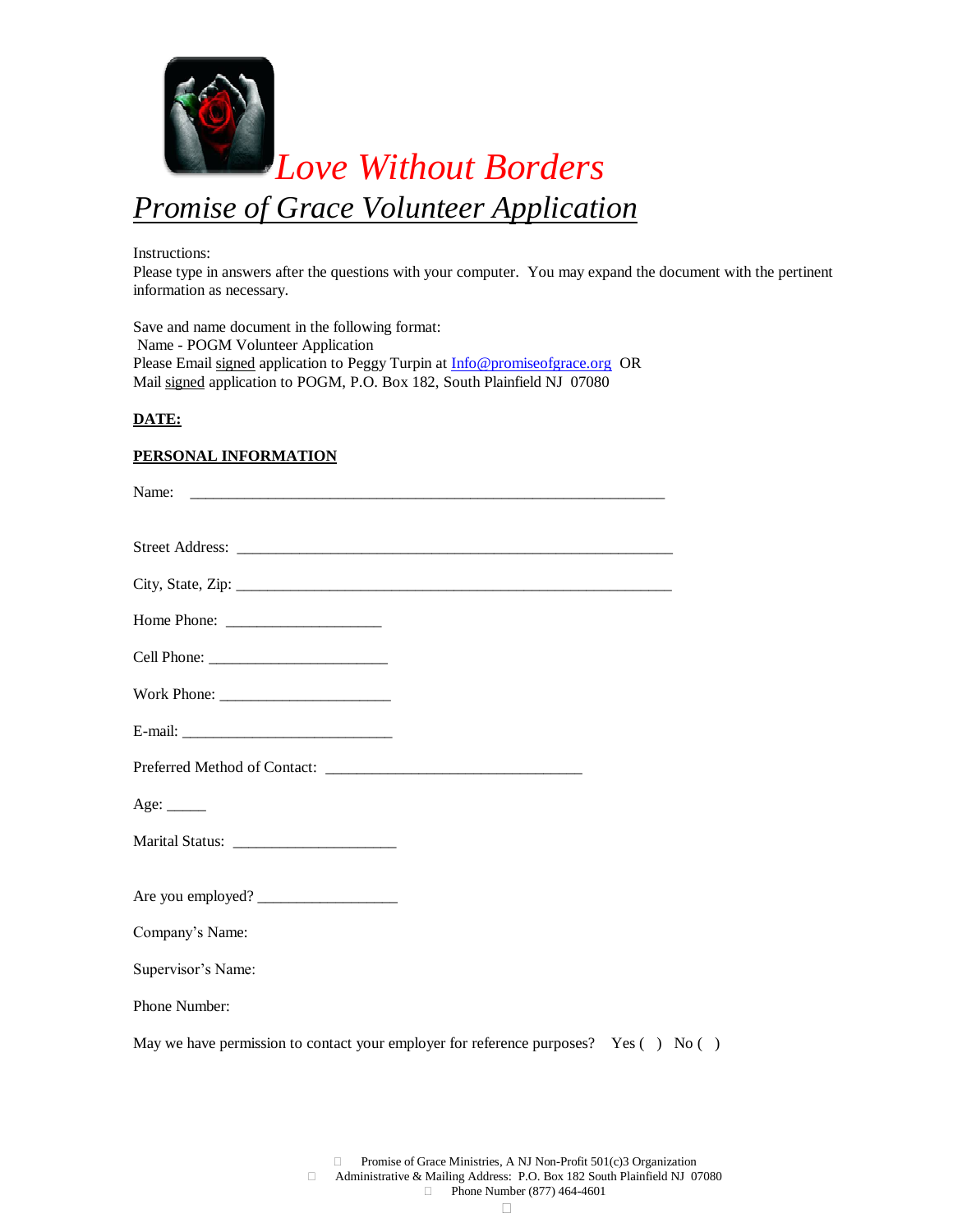

Instructions:

Please type in answers after the questions with your computer. You may expand the document with the pertinent information as necessary.

Save and name document in the following format: Name - POGM Volunteer Application Please Email signed application to Peggy Turpin at **Info@promiseofgrace.org** OR Mail signed application to POGM, P.O. Box 182, South Plainfield NJ 07080

### **DATE:**

### **PERSONAL INFORMATION**

| Age: $\_\_$                                                                                |  |  |
|--------------------------------------------------------------------------------------------|--|--|
|                                                                                            |  |  |
| Are you employed?                                                                          |  |  |
| Company's Name:                                                                            |  |  |
| Supervisor's Name:                                                                         |  |  |
| Phone Number:                                                                              |  |  |
| May we have permission to contact your employer for reference purposes? Yes $( )$ No $( )$ |  |  |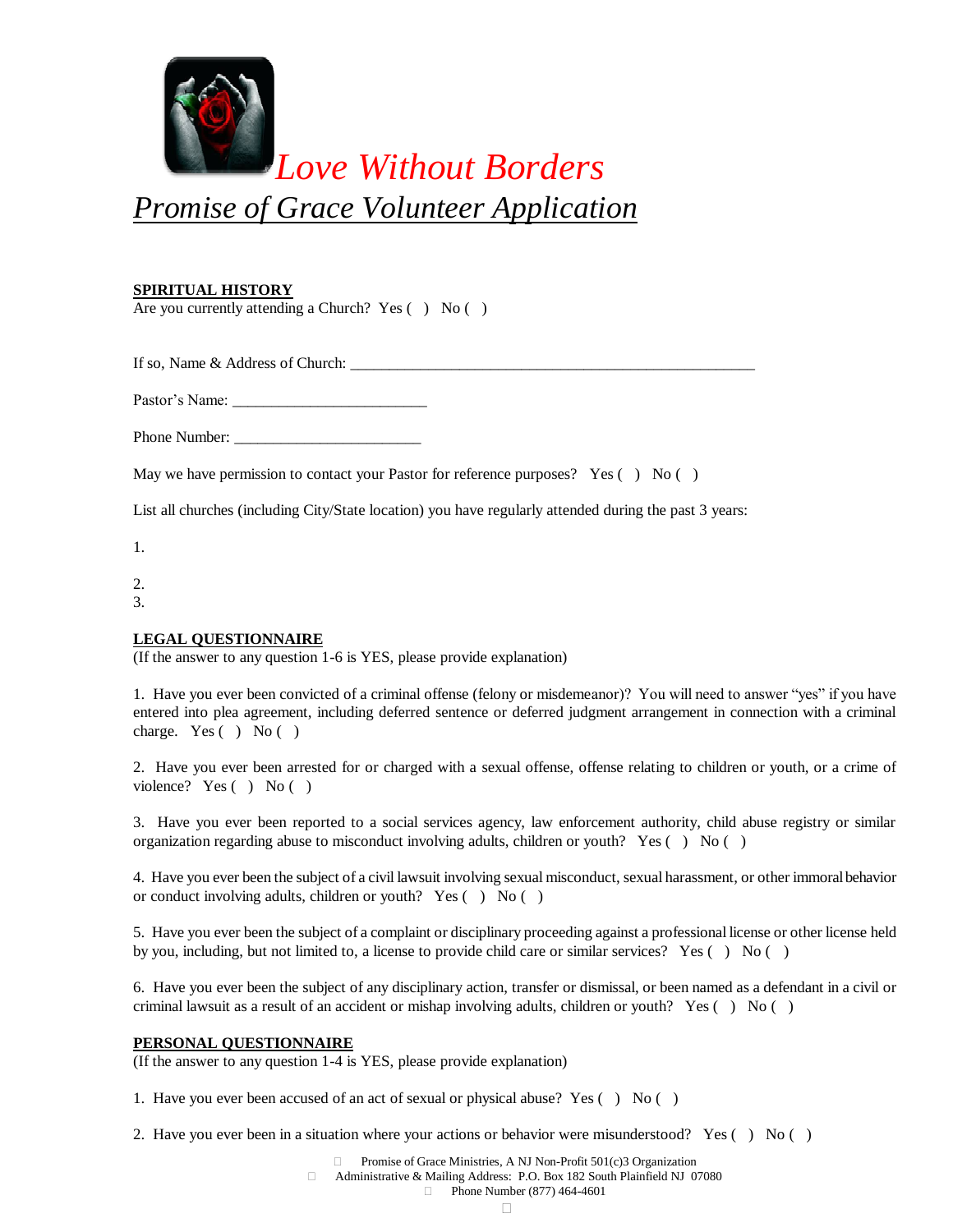

*Promise of Grace Volunteer Application*

# **SPIRITUAL HISTORY**

Are you currently attending a Church? Yes () No ()

If so, Name & Address of Church: \_\_\_\_\_\_\_\_\_\_\_\_\_\_\_\_\_\_\_\_\_\_\_\_\_\_\_\_\_\_\_\_\_\_\_\_\_\_\_\_\_\_\_\_\_\_\_\_\_\_\_\_

Pastor's Name: \_\_\_\_\_\_\_\_\_\_\_\_\_\_\_\_\_\_\_\_\_\_\_\_\_

Phone Number: \_\_\_\_\_\_\_\_\_\_\_\_\_\_\_\_\_\_\_\_\_\_\_\_

May we have permission to contact your Pastor for reference purposes? Yes  $( )$  No  $( )$ 

List all churches (including City/State location) you have regularly attended during the past 3 years:

1.

2.

3.

# **LEGAL QUESTIONNAIRE**

(If the answer to any question 1-6 is YES, please provide explanation)

1. Have you ever been convicted of a criminal offense (felony or misdemeanor)? You will need to answer "yes" if you have entered into plea agreement, including deferred sentence or deferred judgment arrangement in connection with a criminal charge. Yes ( ) No ( )

2. Have you ever been arrested for or charged with a sexual offense, offense relating to children or youth, or a crime of violence? Yes ( ) No ( )

3. Have you ever been reported to a social services agency, law enforcement authority, child abuse registry or similar organization regarding abuse to misconduct involving adults, children or youth? Yes  $( )$  No  $( )$ 

4. Have you ever been the subject of a civil lawsuit involving sexual misconduct, sexual harassment, or other immoral behavior or conduct involving adults, children or youth? Yes ( ) No ( )

5. Have you ever been the subject of a complaint or disciplinary proceeding against a professional license or other license held by you, including, but not limited to, a license to provide child care or similar services? Yes ( ) No ( )

6. Have you ever been the subject of any disciplinary action, transfer or dismissal, or been named as a defendant in a civil or criminal lawsuit as a result of an accident or mishap involving adults, children or youth? Yes ( ) No ( )

# **PERSONAL QUESTIONNAIRE**

(If the answer to any question 1-4 is YES, please provide explanation)

1. Have you ever been accused of an act of sexual or physical abuse? Yes ( ) No ( )

2. Have you ever been in a situation where your actions or behavior were misunderstood? Yes ( ) No ( )

Promise of Grace Ministries, A NJ Non-Profit 501(c)3 Organization

Administrative & Mailing Address: P.O. Box 182 South Plainfield NJ 07080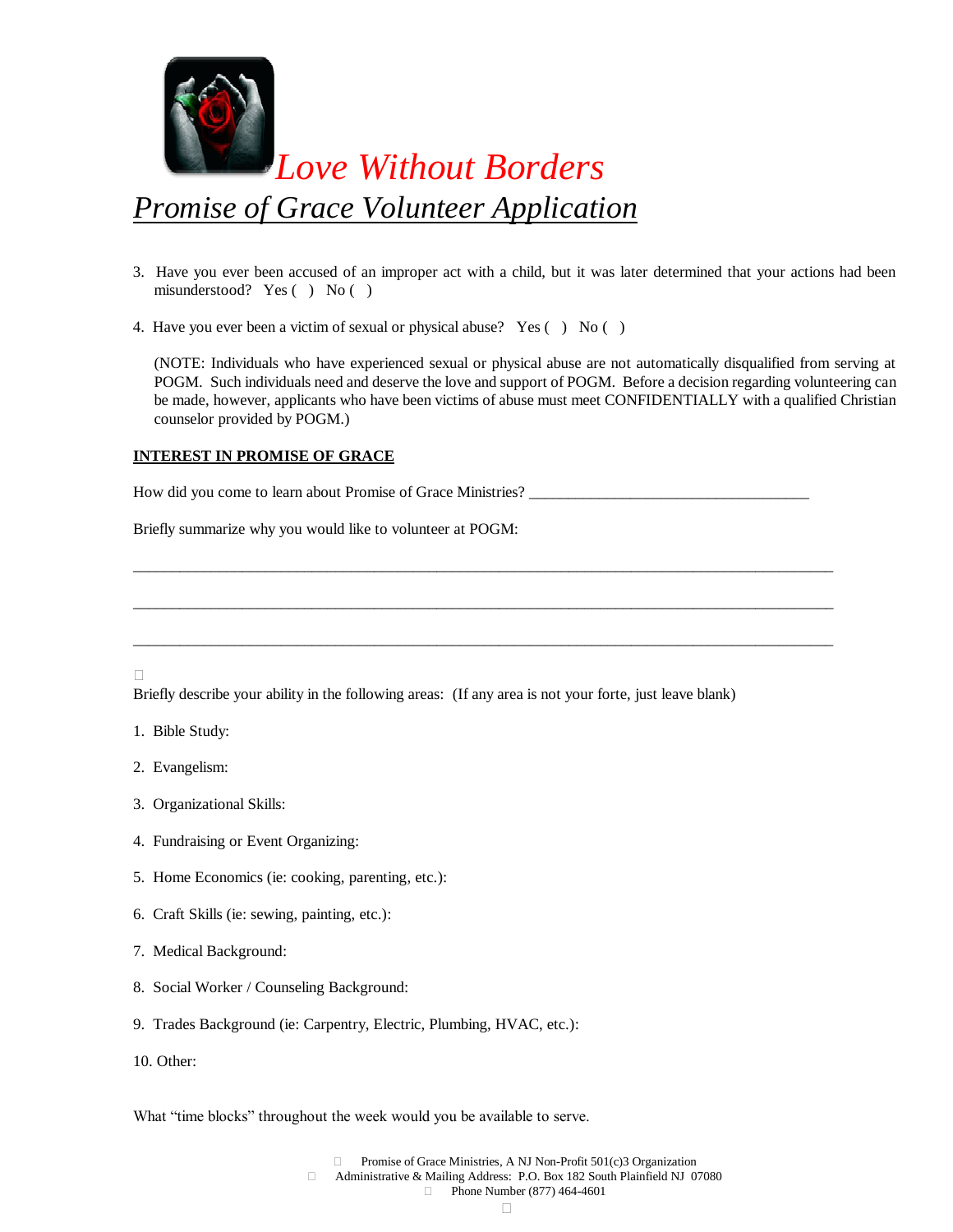

- 3. Have you ever been accused of an improper act with a child, but it was later determined that your actions had been misunderstood? Yes ( ) No ( )
- 4. Have you ever been a victim of sexual or physical abuse? Yes () No ()

(NOTE: Individuals who have experienced sexual or physical abuse are not automatically disqualified from serving at POGM. Such individuals need and deserve the love and support of POGM. Before a decision regarding volunteering can be made, however, applicants who have been victims of abuse must meet CONFIDENTIALLY with a qualified Christian counselor provided by POGM.)

# **INTEREST IN PROMISE OF GRACE**

How did you come to learn about Promise of Grace Ministries?

\_\_\_\_\_\_\_\_\_\_\_\_\_\_\_\_\_\_\_\_\_\_\_\_\_\_\_\_\_\_\_\_\_\_\_\_\_\_\_\_\_\_\_\_\_\_\_\_\_\_\_\_\_\_\_\_\_\_\_\_\_\_\_\_\_\_\_\_\_\_\_\_\_\_\_\_\_\_\_\_\_\_\_\_\_\_\_\_\_\_

\_\_\_\_\_\_\_\_\_\_\_\_\_\_\_\_\_\_\_\_\_\_\_\_\_\_\_\_\_\_\_\_\_\_\_\_\_\_\_\_\_\_\_\_\_\_\_\_\_\_\_\_\_\_\_\_\_\_\_\_\_\_\_\_\_\_\_\_\_\_\_\_\_\_\_\_\_\_\_\_\_\_\_\_\_\_\_\_\_\_

\_\_\_\_\_\_\_\_\_\_\_\_\_\_\_\_\_\_\_\_\_\_\_\_\_\_\_\_\_\_\_\_\_\_\_\_\_\_\_\_\_\_\_\_\_\_\_\_\_\_\_\_\_\_\_\_\_\_\_\_\_\_\_\_\_\_\_\_\_\_\_\_\_\_\_\_\_\_\_\_\_\_\_\_\_\_\_\_\_\_

Briefly summarize why you would like to volunteer at POGM:

П

Briefly describe your ability in the following areas: (If any area is not your forte, just leave blank)

- 1. Bible Study:
- 2. Evangelism:
- 3. Organizational Skills:
- 4. Fundraising or Event Organizing:
- 5. Home Economics (ie: cooking, parenting, etc.):
- 6. Craft Skills (ie: sewing, painting, etc.):
- 7. Medical Background:
- 8. Social Worker / Counseling Background:
- 9. Trades Background (ie: Carpentry, Electric, Plumbing, HVAC, etc.):
- 10. Other:

What "time blocks" throughout the week would you be available to serve.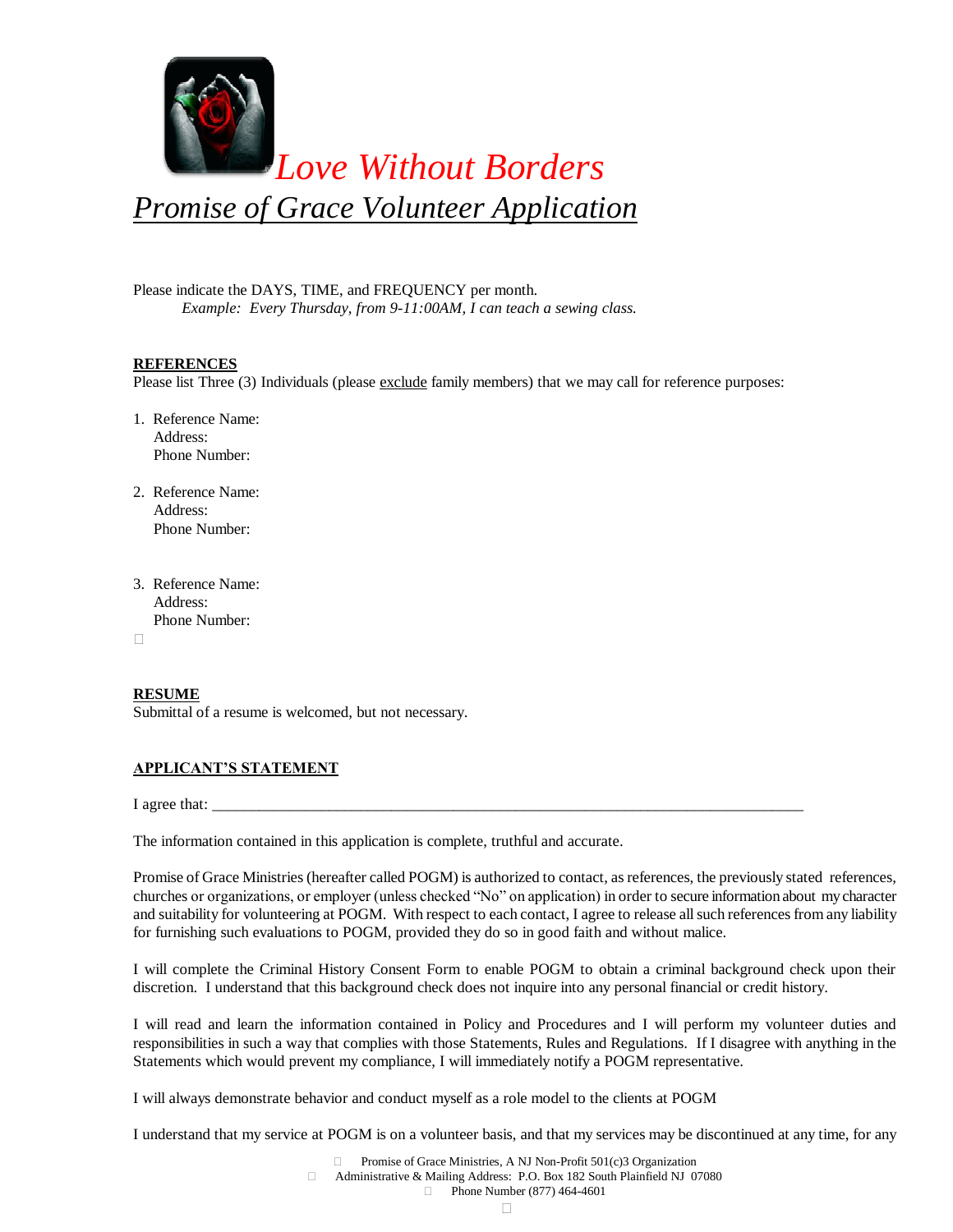

Please indicate the DAYS, TIME, and FREQUENCY per month. *Example: Every Thursday, from 9-11:00AM, I can teach a sewing class.*

### **REFERENCES**

Please list Three (3) Individuals (please exclude family members) that we may call for reference purposes:

- 1. Reference Name: Address: Phone Number:
- 2. Reference Name: Address: Phone Number:
- 3. Reference Name: Address: Phone Number:

 $\Box$ 

#### **RESUME**

Submittal of a resume is welcomed, but not necessary.

#### **APPLICANT'S STATEMENT**

I agree that:

The information contained in this application is complete, truthful and accurate.

Promise of Grace Ministries (hereafter called POGM) is authorized to contact, as references, the previously stated references, churches or organizations, or employer (unless checked "No" on application) in order to secure information about my character and suitability for volunteering at POGM. With respect to each contact, I agree to release all such references from any liability for furnishing such evaluations to POGM, provided they do so in good faith and without malice.

I will complete the Criminal History Consent Form to enable POGM to obtain a criminal background check upon their discretion. I understand that this background check does not inquire into any personal financial or credit history.

I will read and learn the information contained in Policy and Procedures and I will perform my volunteer duties and responsibilities in such a way that complies with those Statements, Rules and Regulations. If I disagree with anything in the Statements which would prevent my compliance, I will immediately notify a POGM representative.

I will always demonstrate behavior and conduct myself as a role model to the clients at POGM

I understand that my service at POGM is on a volunteer basis, and that my services may be discontinued at any time, for any

Promise of Grace Ministries, A NJ Non-Profit 501(c)3 Organization

 Administrative & Mailing Address: P.O. Box 182 South Plainfield NJ 07080 **Phone Number (877) 464-4601**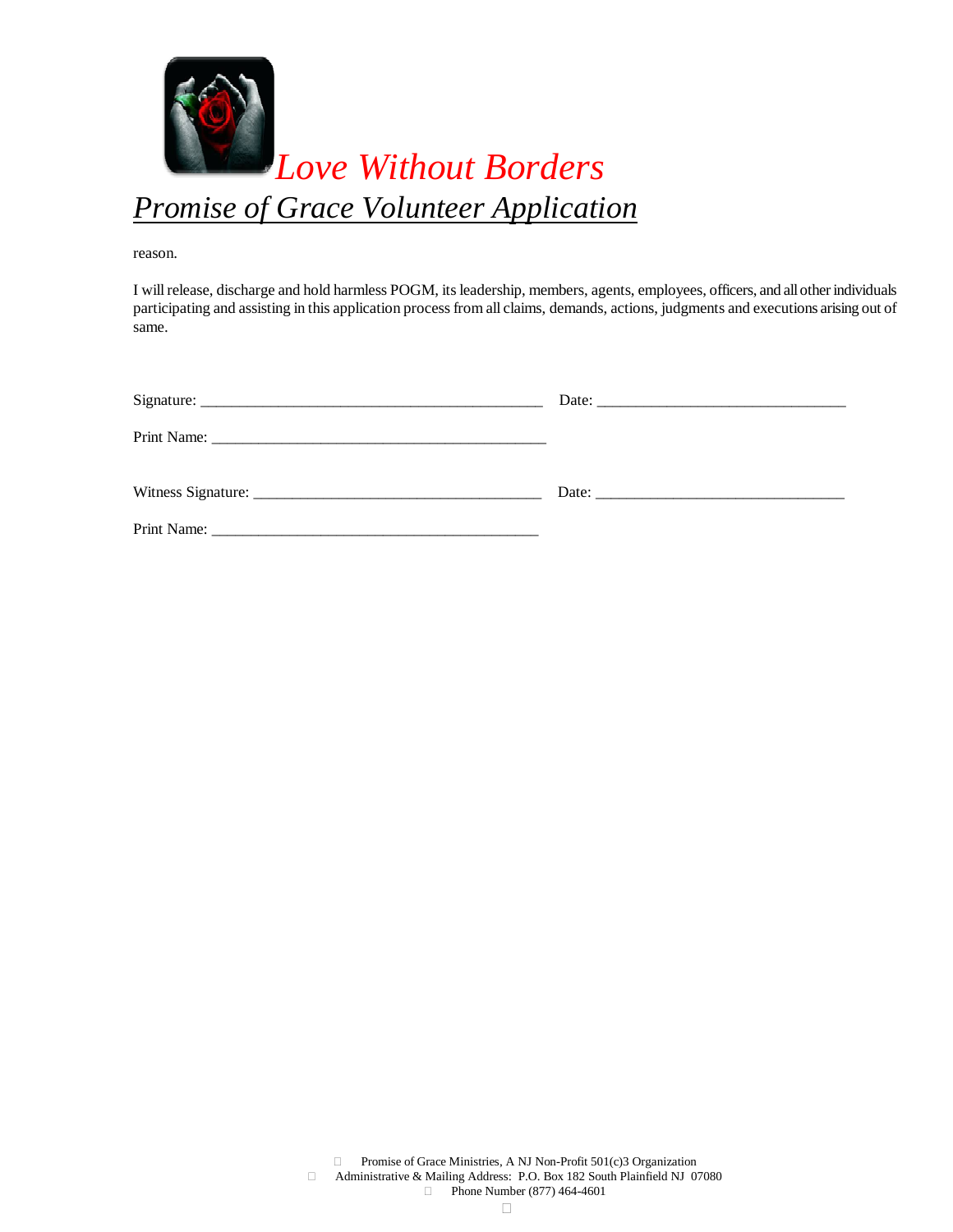

reason.

I will release, discharge and hold harmless POGM, its leadership, members, agents, employees, officers, and all other individuals participating and assisting in this application process from all claims, demands, actions, judgments and executions arising out of same.

| Date: $\frac{1}{2}$   |
|-----------------------|
|                       |
| Date: $\qquad \qquad$ |
|                       |